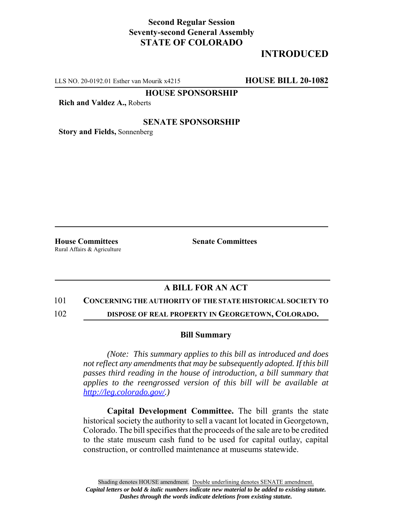## **Second Regular Session Seventy-second General Assembly STATE OF COLORADO**

# **INTRODUCED**

LLS NO. 20-0192.01 Esther van Mourik x4215 **HOUSE BILL 20-1082**

**HOUSE SPONSORSHIP**

**Rich and Valdez A.,** Roberts

### **SENATE SPONSORSHIP**

**Story and Fields,** Sonnenberg

Rural Affairs & Agriculture

**House Committees Senate Committees** 

## **A BILL FOR AN ACT**

#### 101 **CONCERNING THE AUTHORITY OF THE STATE HISTORICAL SOCIETY TO**

102 **DISPOSE OF REAL PROPERTY IN GEORGETOWN, COLORADO.**

#### **Bill Summary**

*(Note: This summary applies to this bill as introduced and does not reflect any amendments that may be subsequently adopted. If this bill passes third reading in the house of introduction, a bill summary that applies to the reengrossed version of this bill will be available at http://leg.colorado.gov/.)*

**Capital Development Committee.** The bill grants the state historical society the authority to sell a vacant lot located in Georgetown, Colorado. The bill specifies that the proceeds of the sale are to be credited to the state museum cash fund to be used for capital outlay, capital construction, or controlled maintenance at museums statewide.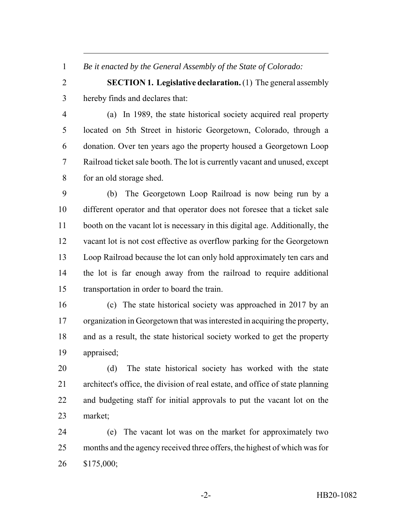*Be it enacted by the General Assembly of the State of Colorado:*

 **SECTION 1. Legislative declaration.** (1) The general assembly hereby finds and declares that:

 (a) In 1989, the state historical society acquired real property located on 5th Street in historic Georgetown, Colorado, through a donation. Over ten years ago the property housed a Georgetown Loop Railroad ticket sale booth. The lot is currently vacant and unused, except for an old storage shed.

 (b) The Georgetown Loop Railroad is now being run by a different operator and that operator does not foresee that a ticket sale booth on the vacant lot is necessary in this digital age. Additionally, the vacant lot is not cost effective as overflow parking for the Georgetown Loop Railroad because the lot can only hold approximately ten cars and the lot is far enough away from the railroad to require additional transportation in order to board the train.

 (c) The state historical society was approached in 2017 by an organization in Georgetown that was interested in acquiring the property, and as a result, the state historical society worked to get the property appraised;

 (d) The state historical society has worked with the state architect's office, the division of real estate, and office of state planning and budgeting staff for initial approvals to put the vacant lot on the market;

 (e) The vacant lot was on the market for approximately two months and the agency received three offers, the highest of which was for \$175,000;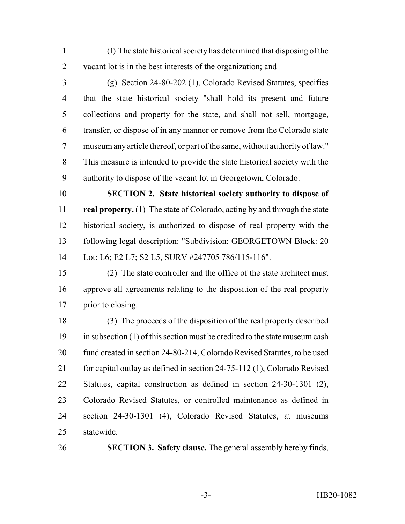(f) The state historical society has determined that disposing of the vacant lot is in the best interests of the organization; and

 (g) Section 24-80-202 (1), Colorado Revised Statutes, specifies that the state historical society "shall hold its present and future collections and property for the state, and shall not sell, mortgage, transfer, or dispose of in any manner or remove from the Colorado state museum any article thereof, or part of the same, without authority of law." This measure is intended to provide the state historical society with the authority to dispose of the vacant lot in Georgetown, Colorado.

 **SECTION 2. State historical society authority to dispose of real property.** (1) The state of Colorado, acting by and through the state historical society, is authorized to dispose of real property with the following legal description: "Subdivision: GEORGETOWN Block: 20 Lot: L6; E2 L7; S2 L5, SURV #247705 786/115-116".

 (2) The state controller and the office of the state architect must approve all agreements relating to the disposition of the real property prior to closing.

 (3) The proceeds of the disposition of the real property described in subsection (1) of this section must be credited to the state museum cash fund created in section 24-80-214, Colorado Revised Statutes, to be used 21 for capital outlay as defined in section 24-75-112 (1), Colorado Revised Statutes, capital construction as defined in section 24-30-1301 (2), Colorado Revised Statutes, or controlled maintenance as defined in section 24-30-1301 (4), Colorado Revised Statutes, at museums statewide.

**SECTION 3. Safety clause.** The general assembly hereby finds,